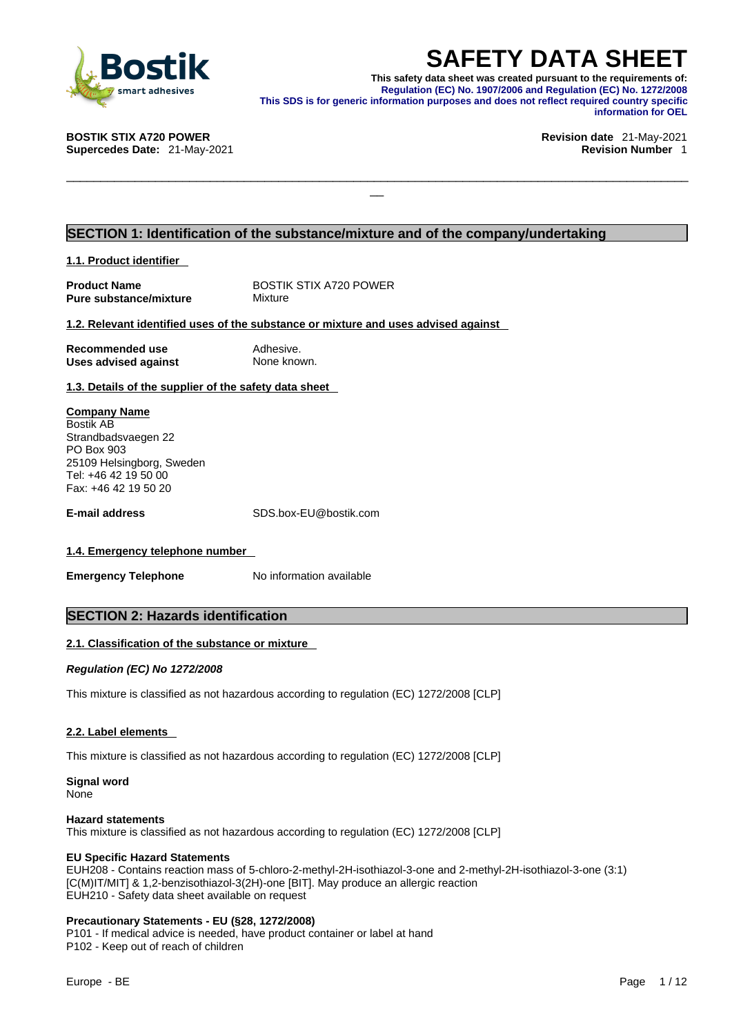

**SAFETY DATA SHEET**<br>This safety data sheet was created pursuant to the requirements of:<br>Regulation (EC) No. 1907/2006 and Regulation (EC) No. 1272/2008<br>information purposes and does not reflect required country specific<br>in **This safety data sheet was created pursuant to the requirements of: Regulation (EC) No. 1907/2006 and Regulation (EC) No. 1272/2008 This SDS is for generic information purposes and does not reflect required country specific information for OEL** 

\_\_\_\_\_\_\_\_\_\_\_\_\_\_\_\_\_\_\_\_\_\_\_\_\_\_\_\_\_\_\_\_\_\_\_\_\_\_\_\_\_\_\_\_\_\_\_\_\_\_\_\_\_\_\_\_\_\_\_\_\_\_\_\_\_\_\_\_\_\_\_\_\_\_\_\_\_\_\_\_\_\_\_\_\_\_\_\_\_\_\_

**BOSTIK STIX A720 POWER Revision date** 21-May-2021

**Supercedes Date:** 21-May-2021 **Revision Number** 1

#### **SECTION 1: Identification of the substance/mixture and of the company/undertaking**

**1.1. Product identifier** 

| <b>Product Name</b>           |  |
|-------------------------------|--|
| <b>Pure substance/mixture</b> |  |

**BOSTIK STIX A720 POWER Mixture** 

#### **1.2. Relevant identified uses of the substance or mixture and uses advised against**

**Recommended use** Adhesive.<br> **Uses advised against** None known. **Uses advised against** 

**1.3. Details of the supplier of the safety data sheet**

**Company Name** Bostik AB Strandbadsvaegen 22 PO Box 903 25109 Helsingborg, Sweden Tel: +46 42 19 50 00 Fax: +46 42 19 50 20

**E-mail address** SDS.box-EU@bostik.com

#### **1.4. Emergency telephone number**

**Emergency Telephone** No information available

#### **SECTION 2: Hazards identification**

#### **2.1. Classification of the substance or mixture**

*Regulation (EC) No 1272/2008* 

This mixture is classified as not hazardous according to regulation (EC) 1272/2008 [CLP]

#### **2.2. Label elements**

This mixture is classified as not hazardous according to regulation (EC) 1272/2008 [CLP]

**Signal word** None

#### **Hazard statements**

This mixture is classified as not hazardous according to regulation (EC) 1272/2008 [CLP]

#### **EU Specific Hazard Statements**

EUH208 - Contains reaction mass of 5-chloro-2-methyl-2H-isothiazol-3-one and 2-methyl-2H-isothiazol-3-one (3:1) [C(M)IT/MIT] & 1,2-benzisothiazol-3(2H)-one [BIT]. May produce an allergic reaction EUH210 - Safety data sheet available on request

#### **Precautionary Statements - EU (§28, 1272/2008)**

P101 - If medical advice is needed, have product container or label at hand P102 - Keep out of reach of children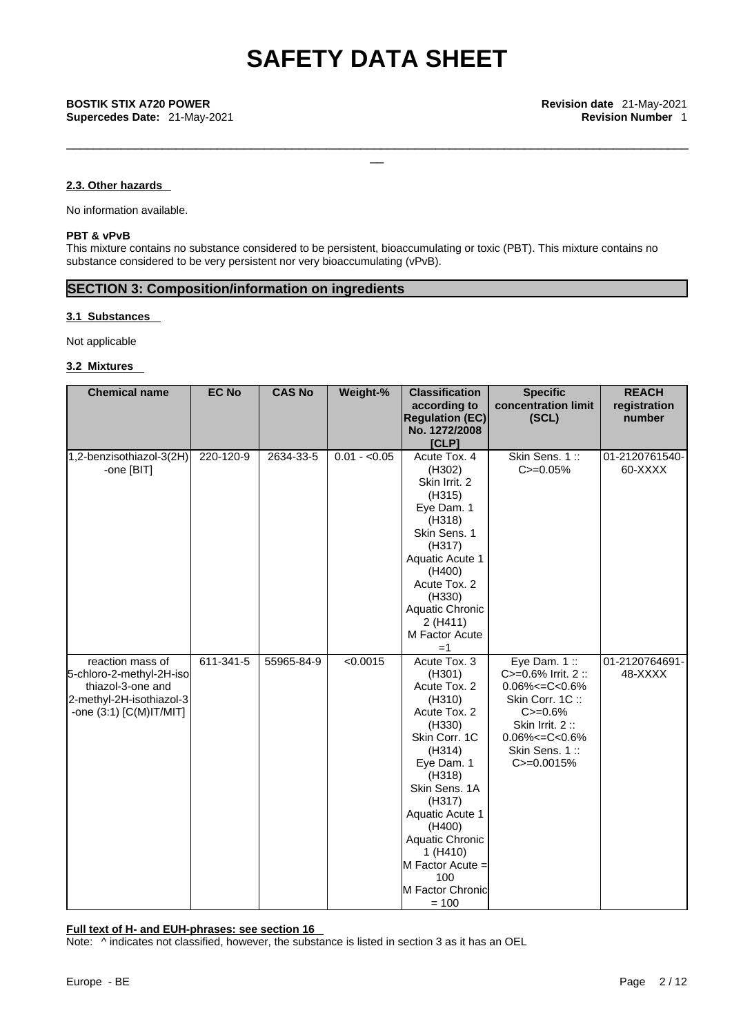\_\_\_\_\_\_\_\_\_\_\_\_\_\_\_\_\_\_\_\_\_\_\_\_\_\_\_\_\_\_\_\_\_\_\_\_\_\_\_\_\_\_\_\_\_\_\_\_\_\_\_\_\_\_\_\_\_\_\_\_\_\_\_\_\_\_\_\_\_\_\_\_\_\_\_\_\_\_\_\_\_\_\_\_\_\_\_\_\_\_\_

#### **2.3. Other hazards**

No information available.

#### **PBT & vPvB**

This mixture contains no substance considered to be persistent, bioaccumulating or toxic (PBT). This mixture contains no substance considered to be very persistent nor very bioaccumulating (vPvB).

### **SECTION 3: Composition/information on ingredients**

#### **3.1 Substances**

Not applicable

#### **3.2 Mixtures**

| <b>Chemical name</b>                          | <b>EC No</b> | <b>CAS No</b> | Weight-%      | <b>Classification</b>       | <b>Specific</b>                       | <b>REACH</b>              |
|-----------------------------------------------|--------------|---------------|---------------|-----------------------------|---------------------------------------|---------------------------|
|                                               |              |               |               | according to                | concentration limit                   | registration              |
|                                               |              |               |               | <b>Regulation (EC)</b>      | (SCL)                                 | number                    |
|                                               |              |               |               | No. 1272/2008               |                                       |                           |
|                                               |              |               |               | [CLP]                       |                                       |                           |
| 1,2-benzisothiazol-3(2H)                      | 220-120-9    | 2634-33-5     | $0.01 - 0.05$ | Acute Tox. 4                | Skin Sens. 1::<br>$C = 0.05%$         | 01-2120761540-<br>60-XXXX |
| -one [BIT]                                    |              |               |               | (H302)<br>Skin Irrit. 2     |                                       |                           |
|                                               |              |               |               | (H315)                      |                                       |                           |
|                                               |              |               |               | Eye Dam. 1                  |                                       |                           |
|                                               |              |               |               | (H318)                      |                                       |                           |
|                                               |              |               |               | Skin Sens. 1                |                                       |                           |
|                                               |              |               |               | (H317)                      |                                       |                           |
|                                               |              |               |               | Aquatic Acute 1             |                                       |                           |
|                                               |              |               |               | (H400)                      |                                       |                           |
|                                               |              |               |               | Acute Tox. 2                |                                       |                           |
|                                               |              |               |               | (H330)                      |                                       |                           |
|                                               |              |               |               | Aquatic Chronic             |                                       |                           |
|                                               |              |               |               | 2(H411)                     |                                       |                           |
|                                               |              |               |               | M Factor Acute              |                                       |                           |
|                                               |              |               |               | $=1$                        |                                       |                           |
| reaction mass of                              | 611-341-5    | 55965-84-9    | < 0.0015      | Acute Tox. 3                | Eye Dam. $1::$<br>C>=0.6% Irrit. 2 :: | 01-2120764691-<br>48-XXXX |
| 5-chloro-2-methyl-2H-iso<br>thiazol-3-one and |              |               |               | (H301)<br>Acute Tox. 2      | $0.06\% < = C < 0.6\%$                |                           |
| 2-methyl-2H-isothiazol-3                      |              |               |               | (H310)                      | Skin Corr. 1C::                       |                           |
| -one (3:1) [C(M) IT/MIT]                      |              |               |               | Acute Tox. 2                | $C = 0.6%$                            |                           |
|                                               |              |               |               | (H330)                      | Skin Irrit. 2:                        |                           |
|                                               |              |               |               | Skin Corr. 1C               | $0.06\% < = C < 0.6\%$                |                           |
|                                               |              |               |               | (H314)                      | Skin Sens. 1::                        |                           |
|                                               |              |               |               | Eye Dam. 1                  | C>=0.0015%                            |                           |
|                                               |              |               |               | (H318)                      |                                       |                           |
|                                               |              |               |               | Skin Sens. 1A               |                                       |                           |
|                                               |              |               |               | (H317)                      |                                       |                           |
|                                               |              |               |               | Aquatic Acute 1             |                                       |                           |
|                                               |              |               |               | (H400)                      |                                       |                           |
|                                               |              |               |               | Aquatic Chronic             |                                       |                           |
|                                               |              |               |               | 1(H410)<br>M Factor Acute = |                                       |                           |
|                                               |              |               |               | 100                         |                                       |                           |
|                                               |              |               |               | M Factor Chronic            |                                       |                           |
|                                               |              |               |               | $= 100$                     |                                       |                           |

**Full text of H- and EUH-phrases: see section 16**

Note: ^ indicates not classified, however, the substance is listed in section 3 as it has an OEL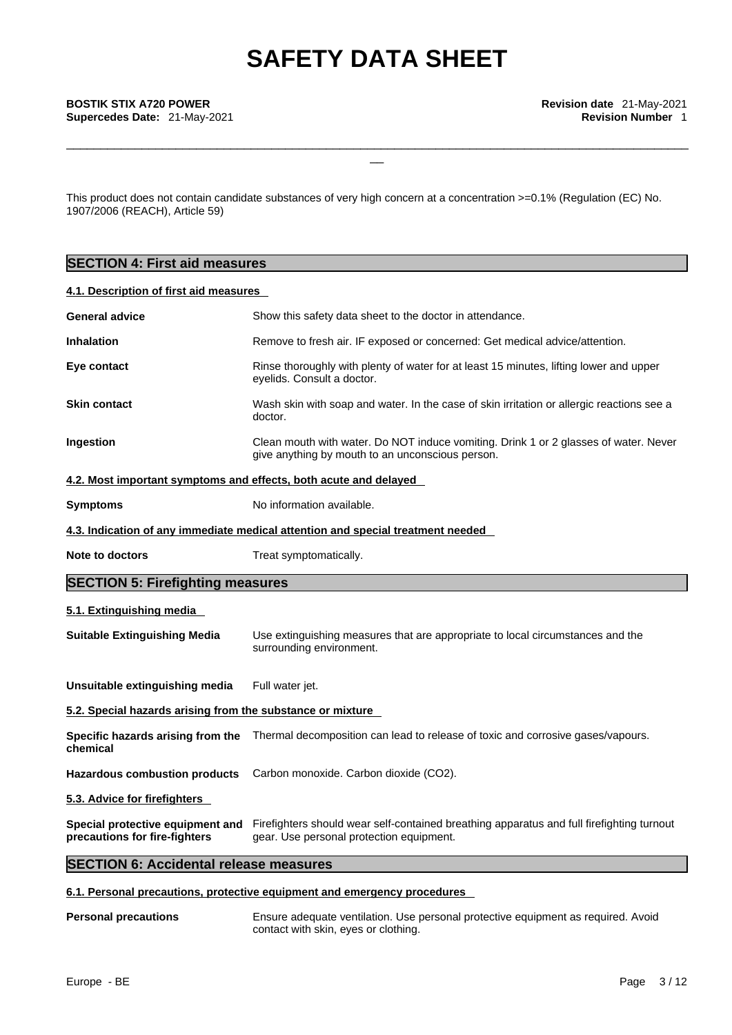\_\_\_\_\_\_\_\_\_\_\_\_\_\_\_\_\_\_\_\_\_\_\_\_\_\_\_\_\_\_\_\_\_\_\_\_\_\_\_\_\_\_\_\_\_\_\_\_\_\_\_\_\_\_\_\_\_\_\_\_\_\_\_\_\_\_\_\_\_\_\_\_\_\_\_\_\_\_\_\_\_\_\_\_\_\_\_\_\_\_\_

This product does not contain candidate substances of very high concern at a concentration >=0.1% (Regulation (EC) No. 1907/2006 (REACH), Article 59)

### **SECTION 4: First aid measures**

#### **4.1. Description of first aid measures**

| <b>General advice</b>                                            | Show this safety data sheet to the doctor in attendance.                                                                                                               |
|------------------------------------------------------------------|------------------------------------------------------------------------------------------------------------------------------------------------------------------------|
| <b>Inhalation</b>                                                | Remove to fresh air. IF exposed or concerned: Get medical advice/attention.                                                                                            |
| Eye contact                                                      | Rinse thoroughly with plenty of water for at least 15 minutes, lifting lower and upper<br>eyelids. Consult a doctor.                                                   |
| <b>Skin contact</b>                                              | Wash skin with soap and water. In the case of skin irritation or allergic reactions see a<br>doctor.                                                                   |
| Ingestion                                                        | Clean mouth with water. Do NOT induce vomiting. Drink 1 or 2 glasses of water. Never<br>give anything by mouth to an unconscious person.                               |
| 4.2. Most important symptoms and effects, both acute and delayed |                                                                                                                                                                        |
| <b>Symptoms</b>                                                  | No information available.                                                                                                                                              |
|                                                                  | 4.3. Indication of any immediate medical attention and special treatment needed                                                                                        |
| Note to doctors                                                  | Treat symptomatically.                                                                                                                                                 |
| <b>SECTION 5: Firefighting measures</b>                          |                                                                                                                                                                        |
| 5.1. Extinguishing media                                         |                                                                                                                                                                        |
| <b>Suitable Extinguishing Media</b>                              | Use extinguishing measures that are appropriate to local circumstances and the<br>surrounding environment.                                                             |
| Unsuitable extinguishing media                                   | Full water jet.                                                                                                                                                        |
| 5.2. Special hazards arising from the substance or mixture       |                                                                                                                                                                        |
| Specific hazards arising from the<br>chemical                    | Thermal decomposition can lead to release of toxic and corrosive gases/vapours.                                                                                        |
| <b>Hazardous combustion products</b>                             | Carbon monoxide. Carbon dioxide (CO2).                                                                                                                                 |
| 5.3. Advice for firefighters                                     |                                                                                                                                                                        |
| precautions for fire-fighters                                    | Special protective equipment and Firefighters should wear self-contained breathing apparatus and full firefighting turnout<br>gear. Use personal protection equipment. |
| <b>SECTION 6: Accidental release measures</b>                    |                                                                                                                                                                        |

#### **6.1. Personal precautions, protective equipment and emergency procedures**

**Personal precautions** Ensure adequate ventilation. Use personal protective equipment as required. Avoid contact with skin, eyes or clothing.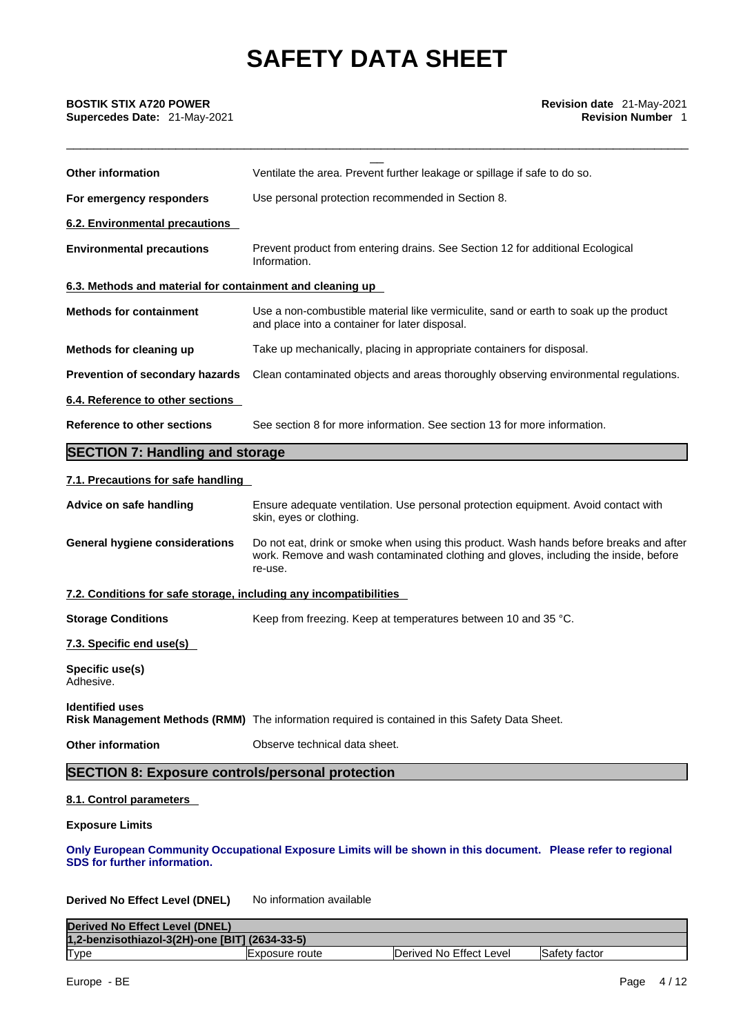| <b>BOSTIK STIX A720 POWER</b><br>Supercedes Date: 21-May-2021     | Revision date 21-May-2021<br><b>Revision Number 1</b>                                                                                                                                     |  |  |  |
|-------------------------------------------------------------------|-------------------------------------------------------------------------------------------------------------------------------------------------------------------------------------------|--|--|--|
| <b>Other information</b>                                          | Ventilate the area. Prevent further leakage or spillage if safe to do so.                                                                                                                 |  |  |  |
| For emergency responders                                          | Use personal protection recommended in Section 8.                                                                                                                                         |  |  |  |
| 6.2. Environmental precautions                                    |                                                                                                                                                                                           |  |  |  |
| <b>Environmental precautions</b>                                  | Prevent product from entering drains. See Section 12 for additional Ecological<br>Information.                                                                                            |  |  |  |
| 6.3. Methods and material for containment and cleaning up         |                                                                                                                                                                                           |  |  |  |
| <b>Methods for containment</b>                                    | Use a non-combustible material like vermiculite, sand or earth to soak up the product<br>and place into a container for later disposal.                                                   |  |  |  |
| Methods for cleaning up                                           | Take up mechanically, placing in appropriate containers for disposal.                                                                                                                     |  |  |  |
| Prevention of secondary hazards                                   | Clean contaminated objects and areas thoroughly observing environmental regulations.                                                                                                      |  |  |  |
| 6.4. Reference to other sections                                  |                                                                                                                                                                                           |  |  |  |
| Reference to other sections                                       | See section 8 for more information. See section 13 for more information.                                                                                                                  |  |  |  |
| <b>SECTION 7: Handling and storage</b>                            |                                                                                                                                                                                           |  |  |  |
| 7.1. Precautions for safe handling                                |                                                                                                                                                                                           |  |  |  |
| Advice on safe handling                                           | Ensure adequate ventilation. Use personal protection equipment. Avoid contact with<br>skin, eyes or clothing.                                                                             |  |  |  |
| <b>General hygiene considerations</b>                             | Do not eat, drink or smoke when using this product. Wash hands before breaks and after<br>work. Remove and wash contaminated clothing and gloves, including the inside, before<br>re-use. |  |  |  |
| 7.2. Conditions for safe storage, including any incompatibilities |                                                                                                                                                                                           |  |  |  |
| <b>Storage Conditions</b>                                         | Keep from freezing. Keep at temperatures between 10 and 35 °C.                                                                                                                            |  |  |  |
| 7.3. Specific end use(s)                                          |                                                                                                                                                                                           |  |  |  |
| Specific use(s)<br>Adhesive.                                      |                                                                                                                                                                                           |  |  |  |
| <b>Identified uses</b>                                            | Risk Management Methods (RMM) The information required is contained in this Safety Data Sheet.                                                                                            |  |  |  |
| <b>Other information</b>                                          | Observe technical data sheet.                                                                                                                                                             |  |  |  |
| <b>SECTION 8: Exposure controls/personal protection</b>           |                                                                                                                                                                                           |  |  |  |
| 8.1. Control parameters                                           |                                                                                                                                                                                           |  |  |  |
| <b>Exposure Limits</b>                                            |                                                                                                                                                                                           |  |  |  |
| SDS for further information.                                      | Only European Community Occupational Exposure Limits will be shown in this document. Please refer to regional                                                                             |  |  |  |

### **Derived No Effect Level (DNEL)** No information available

| Derived No Effect Level (DNEL)                 |                 |                         |               |
|------------------------------------------------|-----------------|-------------------------|---------------|
| 1,2-benzisothiazol-3(2H)-one [BIT] (2634-33-5) |                 |                         |               |
| Type                                           | IExposure route | Derived No Effect Level | Safety factor |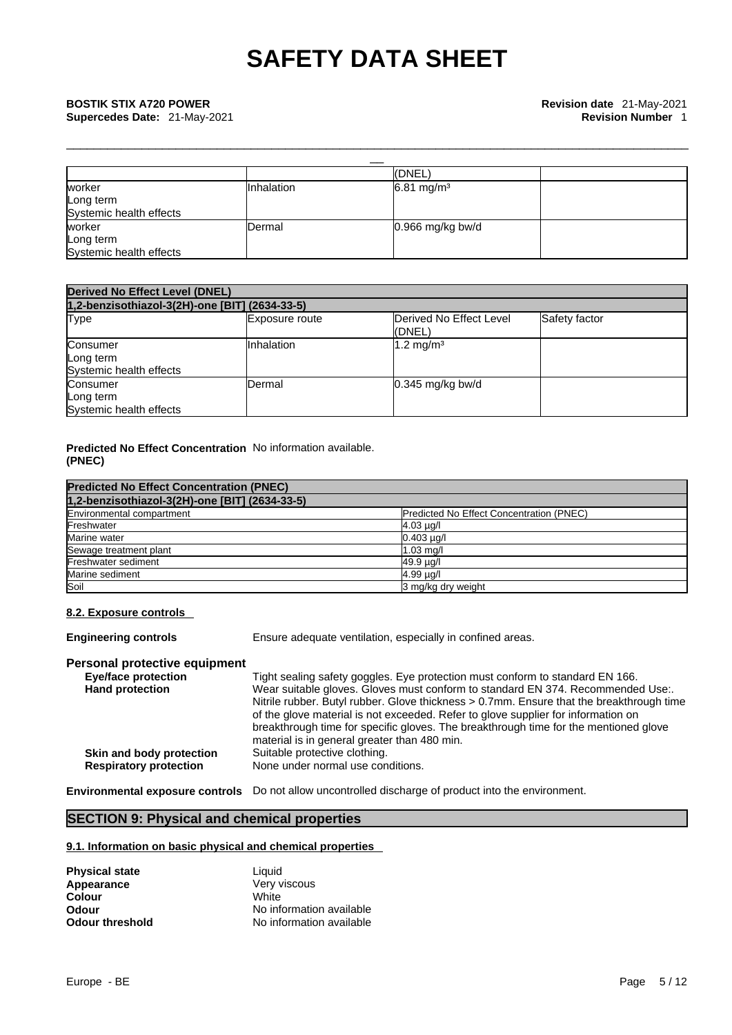|                         |            | (DNEL)                 |  |  |
|-------------------------|------------|------------------------|--|--|
| worker                  | Inhalation | 6.81 mg/m <sup>3</sup> |  |  |
| Long term               |            |                        |  |  |
| Systemic health effects |            |                        |  |  |
| worker                  | Dermal     | $0.966$ mg/kg bw/d     |  |  |
| Long term               |            |                        |  |  |
| Systemic health effects |            |                        |  |  |

\_\_\_\_\_\_\_\_\_\_\_\_\_\_\_\_\_\_\_\_\_\_\_\_\_\_\_\_\_\_\_\_\_\_\_\_\_\_\_\_\_\_\_\_\_\_\_\_\_\_\_\_\_\_\_\_\_\_\_\_\_\_\_\_\_\_\_\_\_\_\_\_\_\_\_\_\_\_\_\_\_\_\_\_\_\_\_\_\_\_\_

| <b>Derived No Effect Level (DNEL)</b><br>1,2-benzisothiazol-3(2H)-one [BIT] (2634-33-5) |            |                       |  |  |
|-----------------------------------------------------------------------------------------|------------|-----------------------|--|--|
|                                                                                         |            |                       |  |  |
| Consumer<br>Long term<br>Systemic health effects                                        | Inhalation | 1.2 mg/m <sup>3</sup> |  |  |
| Consumer<br>Long term<br>Systemic health effects                                        | Dermal     | $0.345$ mg/kg bw/d    |  |  |

#### **Predicted No Effect Concentration** No information available. **(PNEC)**

| <b>Predicted No Effect Concentration (PNEC)</b><br>1,2-benzisothiazol-3(2H)-one [BIT] (2634-33-5) |                    |  |
|---------------------------------------------------------------------------------------------------|--------------------|--|
|                                                                                                   |                    |  |
| Freshwater                                                                                        | $4.03 \mu q$       |  |
| Marine water                                                                                      | $0.403 \mu q/l$    |  |
| Sewage treatment plant                                                                            | $1.03$ mg/         |  |
| Freshwater sediment                                                                               | 49.9 µg/l          |  |
| Marine sediment                                                                                   | 4.99 µg/l          |  |
| Soil                                                                                              | 3 mg/kg dry weight |  |

### **8.2. Exposure controls**

**Engineering controls** Ensure adequate ventilation, especially in confined areas.

#### **Personal protective equipment**

| Eye/face protection           | Tight sealing safety goggles. Eye protection must conform to standard EN 166.            |
|-------------------------------|------------------------------------------------------------------------------------------|
| <b>Hand protection</b>        | Wear suitable gloves. Gloves must conform to standard EN 374. Recommended Use:.          |
|                               | Nitrile rubber. Butyl rubber. Glove thickness > 0.7mm. Ensure that the breakthrough time |
|                               | of the glove material is not exceeded. Refer to glove supplier for information on        |
|                               | breakthrough time for specific gloves. The breakthrough time for the mentioned glove     |
|                               | material is in general greater than 480 min.                                             |
| Skin and body protection      | Suitable protective clothing.                                                            |
| <b>Respiratory protection</b> | None under normal use conditions.                                                        |

**Environmental exposure controls** Do not allow uncontrolled discharge of product into the environment.

### **SECTION 9: Physical and chemical properties**

#### **9.1. Information on basic physical and chemical properties**

| <b>Physical state</b>  | Liauid                   |
|------------------------|--------------------------|
| Appearance             | Very viscous             |
| Colour                 | White                    |
| Odour                  | No information available |
| <b>Odour threshold</b> | No information available |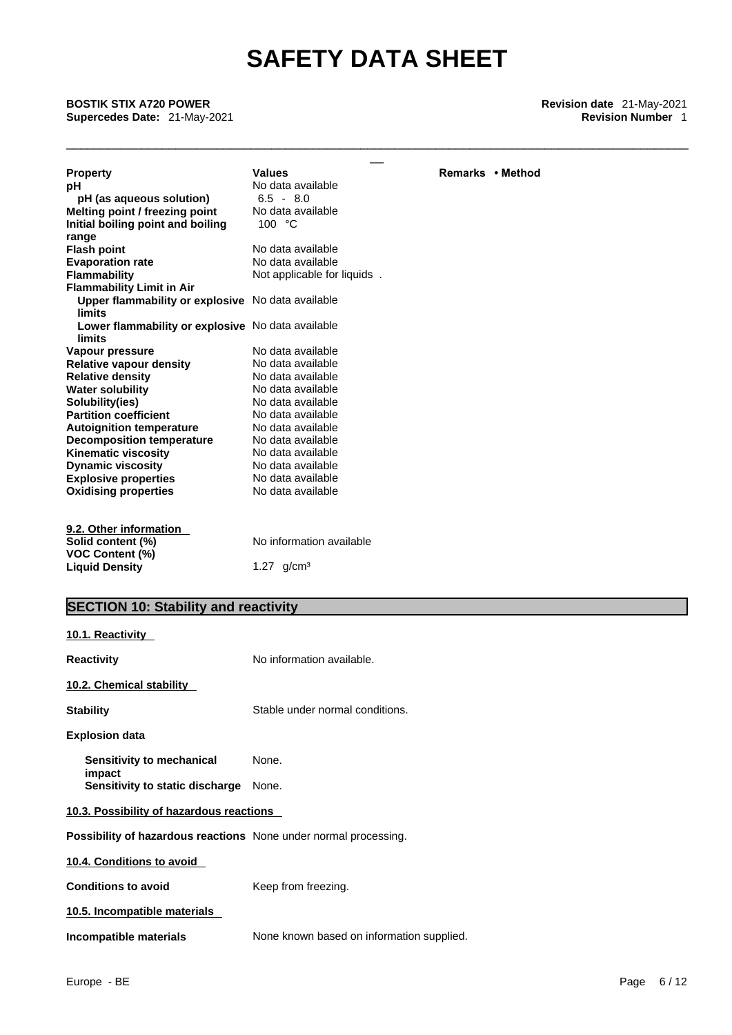\_\_\_\_\_\_\_\_\_\_\_\_\_\_\_\_\_\_\_\_\_\_\_\_\_\_\_\_\_\_\_\_\_\_\_\_\_\_\_\_\_\_\_\_\_\_\_\_\_\_\_\_\_\_\_\_\_\_\_\_\_\_\_\_\_\_\_\_\_\_\_\_\_\_\_\_\_\_\_\_\_\_\_\_\_\_\_\_\_\_\_

\_\_ **BOSTIK STIX A720 POWER Revision date** 21-May-2021 **Supercedes Date:** 21-May-2021 **Revision Number** 1

| <b>Property</b>                                   | <b>Values</b>                     | Remarks • Method |
|---------------------------------------------------|-----------------------------------|------------------|
| рH                                                | No data available                 |                  |
| pH (as aqueous solution)                          | $6.5 - 8.0$                       |                  |
| Melting point / freezing point                    | No data available                 |                  |
| Initial boiling point and boiling                 | 100 °C                            |                  |
| range                                             |                                   |                  |
| <b>Flash point</b>                                | No data available                 |                  |
| <b>Evaporation rate</b>                           | No data available                 |                  |
| <b>Flammability</b>                               | Not applicable for liquids.       |                  |
| <b>Flammability Limit in Air</b>                  |                                   |                  |
| Upper flammability or explosive No data available |                                   |                  |
| limits                                            |                                   |                  |
| Lower flammability or explosive No data available |                                   |                  |
| limits                                            |                                   |                  |
| Vapour pressure                                   | No data available                 |                  |
| <b>Relative vapour density</b>                    | No data available                 |                  |
| <b>Relative density</b>                           | No data available                 |                  |
| <b>Water solubility</b>                           | No data available                 |                  |
| Solubility(ies)                                   | No data available                 |                  |
| <b>Partition coefficient</b>                      | No data available                 |                  |
| <b>Autoignition temperature</b>                   | No data available                 |                  |
| <b>Decomposition temperature</b>                  | No data available                 |                  |
| <b>Kinematic viscosity</b>                        | No data available                 |                  |
| <b>Dynamic viscosity</b>                          | No data available                 |                  |
| <b>Explosive properties</b>                       | No data available                 |                  |
| <b>Oxidising properties</b>                       | No data available                 |                  |
|                                                   |                                   |                  |
| 9.2. Other information                            |                                   |                  |
| Solid content (%)                                 | No information available          |                  |
| <b>VOC Content (%)</b>                            |                                   |                  |
| <b>Liquid Density</b>                             | 1.27 $q/cm^3$                     |                  |
|                                                   |                                   |                  |
|                                                   |                                   |                  |
| APATIAN 10 AL LUIL<br><b>Contract Contract</b>    | <b>Contract Contract Contract</b> |                  |

### **SECTION 10: Stability and reactivity**

| 10.1. Reactivity                                                 |                                           |
|------------------------------------------------------------------|-------------------------------------------|
| Reactivity                                                       | No information available.                 |
| 10.2. Chemical stability                                         |                                           |
| Stability                                                        | Stable under normal conditions.           |
| Explosion data                                                   |                                           |
| Sensitivity to mechanical<br>impact                              | None.                                     |
| <b>Sensitivity to static discharge</b> None.                     |                                           |
| 10.3. Possibility of hazardous reactions                         |                                           |
| Possibility of hazardous reactions None under normal processing. |                                           |
| 10.4. Conditions to avoid                                        |                                           |
| <b>Conditions to avoid</b>                                       | Keep from freezing.                       |
| 10.5. Incompatible materials                                     |                                           |
| Incompatible materials                                           | None known based on information supplied. |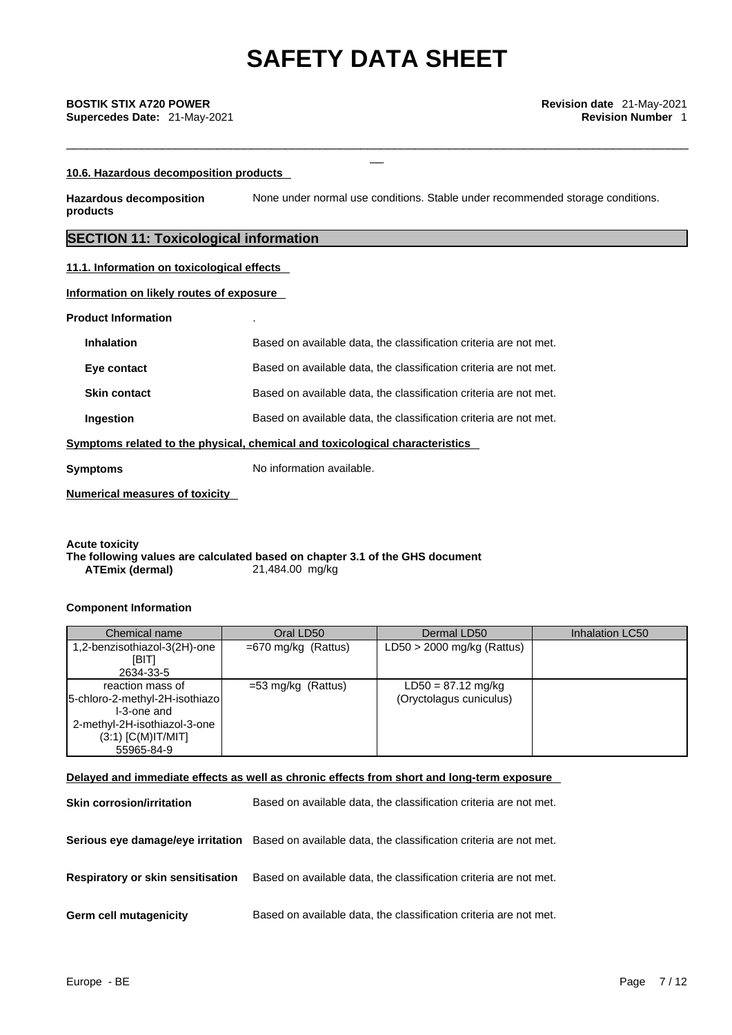\_\_\_\_\_\_\_\_\_\_\_\_\_\_\_\_\_\_\_\_\_\_\_\_\_\_\_\_\_\_\_\_\_\_\_\_\_\_\_\_\_\_\_\_\_\_\_\_\_\_\_\_\_\_\_\_\_\_\_\_\_\_\_\_\_\_\_\_\_\_\_\_\_\_\_\_\_\_\_\_\_\_\_\_\_\_\_\_\_\_\_

#### **10.6. Hazardous decomposition products**

**Hazardous decomposition products**  None under normal use conditions. Stable under recommended storage conditions.

### **SECTION 11: Toxicological information**

#### **11.1. Information on toxicological effects**

#### **Information on likely routes of exposure**

#### **Product Information** .

| <b>Inhalation</b>   | Based on available data, the classification criteria are not met.            |
|---------------------|------------------------------------------------------------------------------|
| Eye contact         | Based on available data, the classification criteria are not met.            |
| <b>Skin contact</b> | Based on available data, the classification criteria are not met.            |
| Ingestion           | Based on available data, the classification criteria are not met.            |
|                     | Symptoms related to the physical, chemical and toxicological characteristics |

**Symptoms** No information available.

**Numerical measures of toxicity**

#### **Acute toxicity The following values are calculated based on chapter 3.1 of the GHS document ATEmix (dermal)**21,484.00 mg/kg

#### **Component Information**

| Chemical name                                                                                                                           | Oral LD50             | Dermal LD50                                     | Inhalation LC50 |
|-----------------------------------------------------------------------------------------------------------------------------------------|-----------------------|-------------------------------------------------|-----------------|
| 1,2-benzisothiazol-3(2H)-one<br>[BIT]<br>2634-33-5                                                                                      | $=670$ mg/kg (Rattus) | $LD50 > 2000$ mg/kg (Rattus)                    |                 |
| reaction mass of<br>5-chloro-2-methyl-2H-isothiazo<br>I-3-one and<br>2-methyl-2H-isothiazol-3-one<br>$(3:1)$ [C(M)IT/MIT]<br>55965-84-9 | $=$ 53 mg/kg (Rattus) | $LD50 = 87.12$ mg/kg<br>(Oryctolagus cuniculus) |                 |

#### **Delayed and immediate effects as well as chronic effects from short and long-term exposure**

| <b>Skin corrosion/irritation</b>  | Based on available data, the classification criteria are not met.                                   |
|-----------------------------------|-----------------------------------------------------------------------------------------------------|
|                                   | Serious eye damage/eye irritation Based on available data, the classification criteria are not met. |
| Respiratory or skin sensitisation | Based on available data, the classification criteria are not met.                                   |
| <b>Germ cell mutagenicity</b>     | Based on available data, the classification criteria are not met.                                   |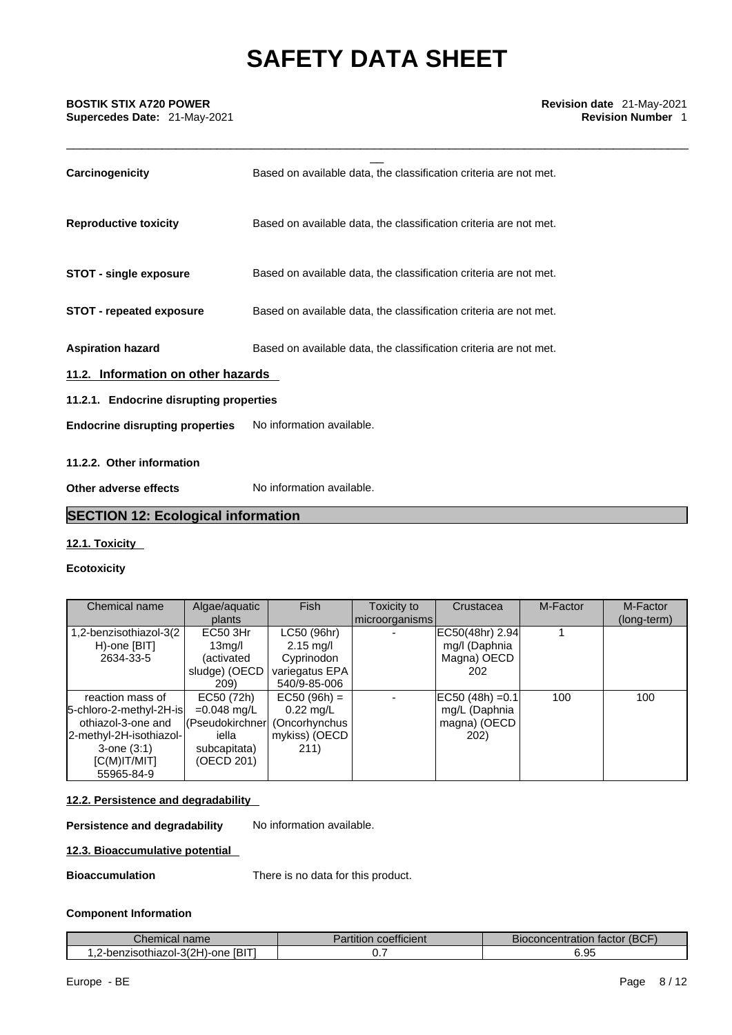\_\_\_\_\_\_\_\_\_\_\_\_\_\_\_\_\_\_\_\_\_\_\_\_\_\_\_\_\_\_\_\_\_\_\_\_\_\_\_\_\_\_\_\_\_\_\_\_\_\_\_\_\_\_\_\_\_\_\_\_\_\_\_\_\_\_\_\_\_\_\_\_\_\_\_\_\_\_\_\_\_\_\_\_\_\_\_\_\_\_\_

| <b>BOSTIK STIX A720 POWER</b><br>Supercedes Date: 21-May-2021 | Revision date 21-May-2021<br><b>Revision Number 1</b>             |
|---------------------------------------------------------------|-------------------------------------------------------------------|
| Carcinogenicity                                               | Based on available data, the classification criteria are not met. |
| <b>Reproductive toxicity</b>                                  | Based on available data, the classification criteria are not met. |
| STOT - single exposure                                        | Based on available data, the classification criteria are not met. |
| <b>STOT - repeated exposure</b>                               | Based on available data, the classification criteria are not met. |
| <b>Aspiration hazard</b>                                      | Based on available data, the classification criteria are not met. |
| 11.2. Information on other hazards                            |                                                                   |
| 11.2.1. Endocrine disrupting properties                       |                                                                   |
| <b>Endocrine disrupting properties</b>                        | No information available.                                         |
| 11.2.2. Other information                                     |                                                                   |

**Other adverse effects** No information available.

### **SECTION 12: Ecological information**

#### **12.1. Toxicity**

#### **Ecotoxicity**

| Chemical name           | Algae/aquatic                 | <b>Fish</b>         | Toxicity to    | Crustacea          | M-Factor | M-Factor    |
|-------------------------|-------------------------------|---------------------|----------------|--------------------|----------|-------------|
|                         | plants                        |                     | microorganisms |                    |          | (long-term) |
| 1,2-benzisothiazol-3(2  | EC50 3Hr                      | LC50 (96hr)         |                | EC50(48hr) 2.94    |          |             |
| H)-one [BIT]            | 13 <sub>mg</sub> /l           | $2.15 \text{ mg/l}$ |                | mg/l (Daphnia      |          |             |
| 2634-33-5               | (activated                    | Cyprinodon          |                | Magna) OECD        |          |             |
|                         | sludge) (OECD                 | variegatus EPA      |                | 202.               |          |             |
|                         | 209)                          | 540/9-85-006        |                |                    |          |             |
| reaction mass of        | EC50 (72h)                    | $EC50 (96h) =$      |                | $EC50 (48h) = 0.1$ | 100      | 100         |
| 5-chloro-2-methyl-2H-is | $=0.048$ mg/L                 | $0.22$ mg/L         |                | mg/L (Daphnia      |          |             |
| othiazol-3-one and      | (Pseudokirchner (Oncorhynchus |                     |                | magna) (OECD       |          |             |
| 2-methyl-2H-isothiazol- | iella                         | mykiss) (OECD       |                | 202)               |          |             |
| $3$ -one $(3:1)$        | subcapitata)                  | 211)                |                |                    |          |             |
| $[C(M)$ IT/MIT]         | (OECD 201)                    |                     |                |                    |          |             |
| 55965-84-9              |                               |                     |                |                    |          |             |

#### **12.2. Persistence and degradability**

**Persistence and degradability** No information available.

### **12.3. Bioaccumulative potential**

**Bioaccumulation** There is no data for this product.

#### **Component Information**

| name<br><b>Giltilitar</b>                      | coefficient<br>anuuun | (BCF<br>า factor i<br>Bioconcentration |
|------------------------------------------------|-----------------------|----------------------------------------|
| .2-benzisothiazol-3(2H)<br><b>IBIT</b><br>-one |                       | ΩF<br>J.JJ                             |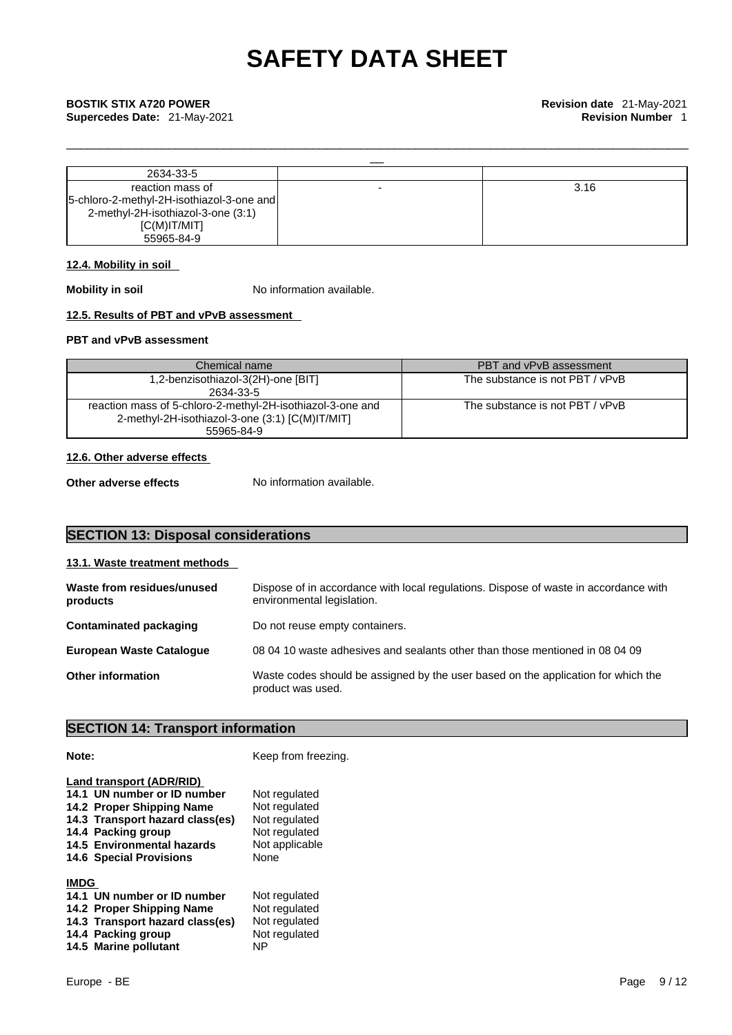| 2634-33-5                                   |      |
|---------------------------------------------|------|
| reaction mass of                            | 3.16 |
| [5-chloro-2-methyl-2H-isothiazol-3-one and] |      |
| 2-methyl-2H-isothiazol-3-one (3:1)          |      |
| IC(M)IT/MIT                                 |      |
| 55965-84-9                                  |      |

\_\_\_\_\_\_\_\_\_\_\_\_\_\_\_\_\_\_\_\_\_\_\_\_\_\_\_\_\_\_\_\_\_\_\_\_\_\_\_\_\_\_\_\_\_\_\_\_\_\_\_\_\_\_\_\_\_\_\_\_\_\_\_\_\_\_\_\_\_\_\_\_\_\_\_\_\_\_\_\_\_\_\_\_\_\_\_\_\_\_\_

#### **12.4. Mobility in soil**

**Mobility in soil** No information available.

#### **12.5. Results of PBT and vPvB assessment**

#### **PBT and vPvB assessment**

| Chemical name                                              | PBT and vPvB assessment         |  |
|------------------------------------------------------------|---------------------------------|--|
| 1,2-benzisothiazol-3(2H)-one [BIT]                         | The substance is not PBT / vPvB |  |
| 2634-33-5                                                  |                                 |  |
| reaction mass of 5-chloro-2-methyl-2H-isothiazol-3-one and | The substance is not PBT / vPvB |  |
| 2-methyl-2H-isothiazol-3-one (3:1) [C(M)IT/MIT]            |                                 |  |
| 55965-84-9                                                 |                                 |  |

#### **12.6. Other adverse effects**

**Other adverse effects** No information available.

### **SECTION 13: Disposal considerations**

| 13.1. Waste treatment methods          |                                                                                                                    |
|----------------------------------------|--------------------------------------------------------------------------------------------------------------------|
| Waste from residues/unused<br>products | Dispose of in accordance with local regulations. Dispose of waste in accordance with<br>environmental legislation. |
| Contaminated packaging                 | Do not reuse empty containers.                                                                                     |
| <b>European Waste Cataloque</b>        | 08 04 10 waste adhesives and sealants other than those mentioned in 08 04 09                                       |
| <b>Other information</b>               | Waste codes should be assigned by the user based on the application for which the<br>product was used.             |

## **SECTION 14: Transport information**

**Note: Keep from freezing.** 

|             | Land transport (ADR/RID)<br>14.1 UN number or ID number<br>14.2 Proper Shipping Name<br>14.3 Transport hazard class(es)<br>14.4 Packing group<br>14.5 Environmental hazards<br><b>14.6 Special Provisions</b> | Not regulated<br>Not regulated<br>Not regulated<br>Not regulated<br>Not applicable<br>None |
|-------------|---------------------------------------------------------------------------------------------------------------------------------------------------------------------------------------------------------------|--------------------------------------------------------------------------------------------|
| <b>IMDG</b> |                                                                                                                                                                                                               |                                                                                            |
|             | 14.1 UN number or ID number                                                                                                                                                                                   | Not regulated                                                                              |
|             | 14.2 Proper Shipping Name                                                                                                                                                                                     | Not regulated                                                                              |
|             | 14.3 Transport hazard class(es)                                                                                                                                                                               | Not regulated                                                                              |
|             | 14.4 Packing group                                                                                                                                                                                            | Not regulated                                                                              |
|             | 14.5 Marine pollutant                                                                                                                                                                                         | ΝP                                                                                         |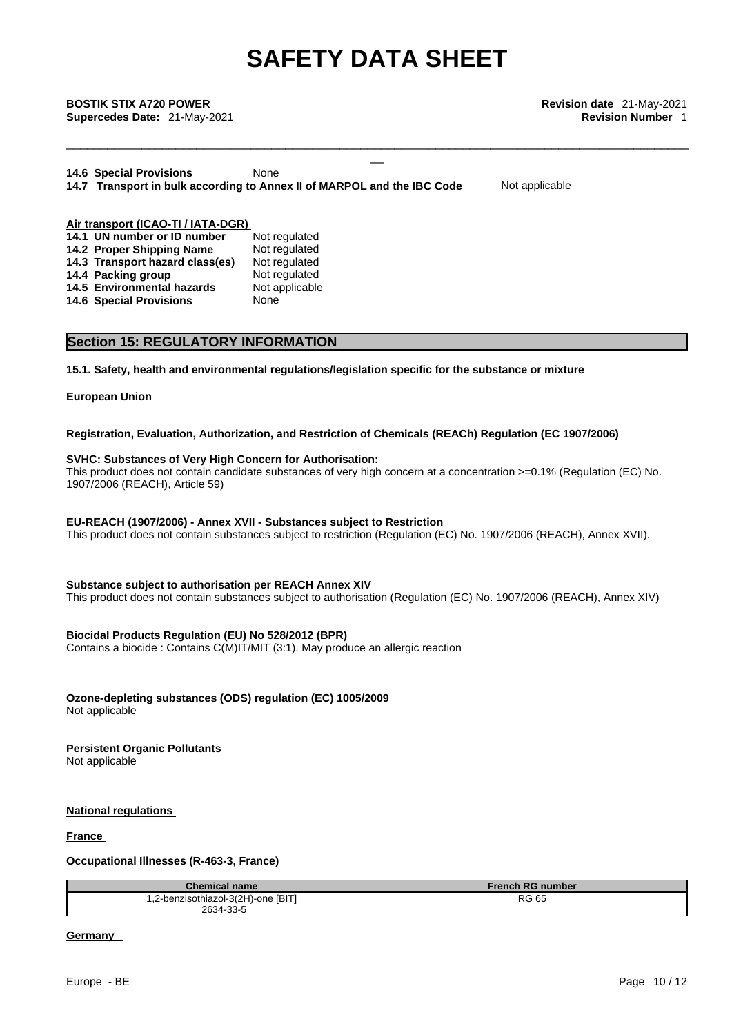\_\_\_\_\_\_\_\_\_\_\_\_\_\_\_\_\_\_\_\_\_\_\_\_\_\_\_\_\_\_\_\_\_\_\_\_\_\_\_\_\_\_\_\_\_\_\_\_\_\_\_\_\_\_\_\_\_\_\_\_\_\_\_\_\_\_\_\_\_\_\_\_\_\_\_\_\_\_\_\_\_\_\_\_\_\_\_\_\_\_\_

\_\_ **BOSTIK STIX A720 POWER Revision date** 21-May-2021 **Supercedes Date:** 21-May-2021 **Revision Number** 1

**14.6 Special Provisions** None **14.7 Transport in bulk according to Annex II of MARPOL and the IBC Code** Not applicable

#### **Air transport (ICAO-TI / IATA-DGR) 14.1 UN number or ID number** Not regulated **14.2 Proper Shipping Name** Not regulated **14.2 Proper Shipping Name** Not regulated **14.3 Transport hazard class(es)** Not regulated **14.3 Transport hazard class(es) 14.4 Packing group Mot regulated** 14.5 Environmental hazards Not applicable **14.6 Special Provisions** None

#### **Section 15: REGULATORY INFORMATION**

**15.1. Safety, health and environmental regulations/legislation specific for the substance or mixture**

#### **European Union**

#### **Registration, Evaluation, Authorization, and Restriction of Chemicals (REACh) Regulation (EC 1907/2006)**

#### **SVHC: Substances of Very High Concern for Authorisation:**

This product does not contain candidate substances of very high concern at a concentration >=0.1% (Regulation (EC) No. 1907/2006 (REACH), Article 59)

#### **EU-REACH (1907/2006) - Annex XVII - Substances subject to Restriction**

This product does not contain substances subject to restriction (Regulation (EC) No. 1907/2006 (REACH), Annex XVII).

#### **Substance subject to authorisation per REACH Annex XIV**

This product does not contain substances subject to authorisation (Regulation (EC) No. 1907/2006 (REACH), Annex XIV)

#### **Biocidal Products Regulation (EU) No 528/2012 (BPR)**

Contains a biocide : Contains C(M)IT/MIT (3:1). May produce an allergic reaction

## **Ozone-depleting substances (ODS) regulation (EC) 1005/2009**

Not applicable

#### **Persistent Organic Pollutants**

Not applicable

#### **National regulations**

#### **France**

#### **Occupational Illnesses (R-463-3, France)**

| <b>Chemical name</b>               | <b>French RG number</b> |
|------------------------------------|-------------------------|
| 1,2-benzisothiazol-3(2H)-one [BIT] | <b>RG 65</b>            |
| 2634-33-5                          |                         |

#### **Germany**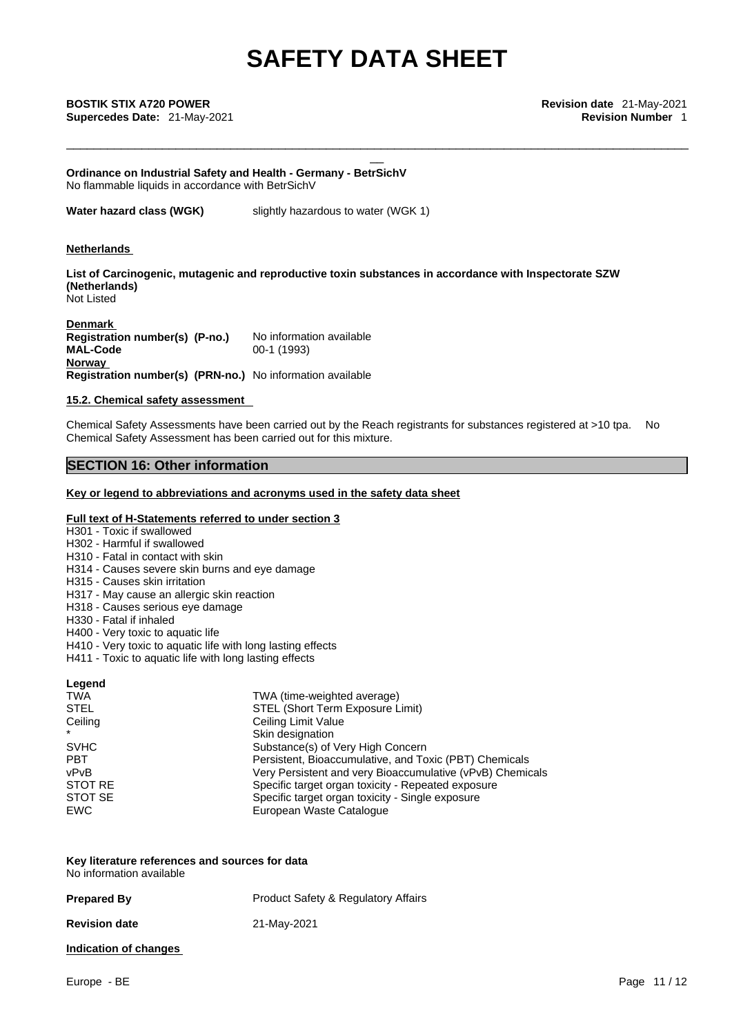\_\_\_\_\_\_\_\_\_\_\_\_\_\_\_\_\_\_\_\_\_\_\_\_\_\_\_\_\_\_\_\_\_\_\_\_\_\_\_\_\_\_\_\_\_\_\_\_\_\_\_\_\_\_\_\_\_\_\_\_\_\_\_\_\_\_\_\_\_\_\_\_\_\_\_\_\_\_\_\_\_\_\_\_\_\_\_\_\_\_\_

\_\_ **BOSTIK STIX A720 POWER Revision date** 21-May-2021 **Supercedes Date:** 21-May-2021 **Revision Number** 1

**Ordinance on Industrial Safety and Health - Germany - BetrSichV** No flammable liquids in accordance with BetrSichV

**Water hazard class (WGK)** slightly hazardous to water (WGK 1)

#### **Netherlands**

**List of Carcinogenic, mutagenic and reproductive toxin substances in accordance with Inspectorate SZW (Netherlands)** Not Listed

**Denmark Registration number(s) (P-no.)** No information available<br>MAI -Code 00-1 (1993) **MAL-Code Norway Registration number(s) (PRN-no.)** No information available

#### **15.2. Chemical safety assessment**

Chemical Safety Assessments have been carried out by the Reach registrants for substances registered at >10 tpa. No Chemical Safety Assessment has been carried out for this mixture.

### **SECTION 16: Other information**

#### **Key or legend to abbreviations and acronyms used in the safety data sheet**

#### **Full text of H-Statements referred to under section 3**

- H301 Toxic if swallowed
- H302 Harmful if swallowed
- H310 Fatal in contact with skin
- H314 Causes severe skin burns and eye damage
- H315 Causes skin irritation
- H317 May cause an allergic skin reaction
- H318 Causes serious eye damage
- H330 Fatal if inhaled
- H400 Very toxic to aquatic life
- H410 Very toxic to aquatic life with long lasting effects
- H411 Toxic to aquatic life with long lasting effects

#### **Legend**

| TWA (time-weighted average)                               |
|-----------------------------------------------------------|
| STEL (Short Term Exposure Limit)                          |
| Ceiling Limit Value                                       |
| Skin designation                                          |
| Substance(s) of Very High Concern                         |
| Persistent, Bioaccumulative, and Toxic (PBT) Chemicals    |
| Very Persistent and very Bioaccumulative (vPvB) Chemicals |
| Specific target organ toxicity - Repeated exposure        |
| Specific target organ toxicity - Single exposure          |
| European Waste Catalogue                                  |
|                                                           |

| Key literature references and sources for data |  |
|------------------------------------------------|--|
| No information available                       |  |

| <b>Prepared By</b>    | <b>Product Safety &amp; Regulatory Affairs</b> |
|-----------------------|------------------------------------------------|
| <b>Revision date</b>  | 21-May-2021                                    |
| Indication of changes |                                                |